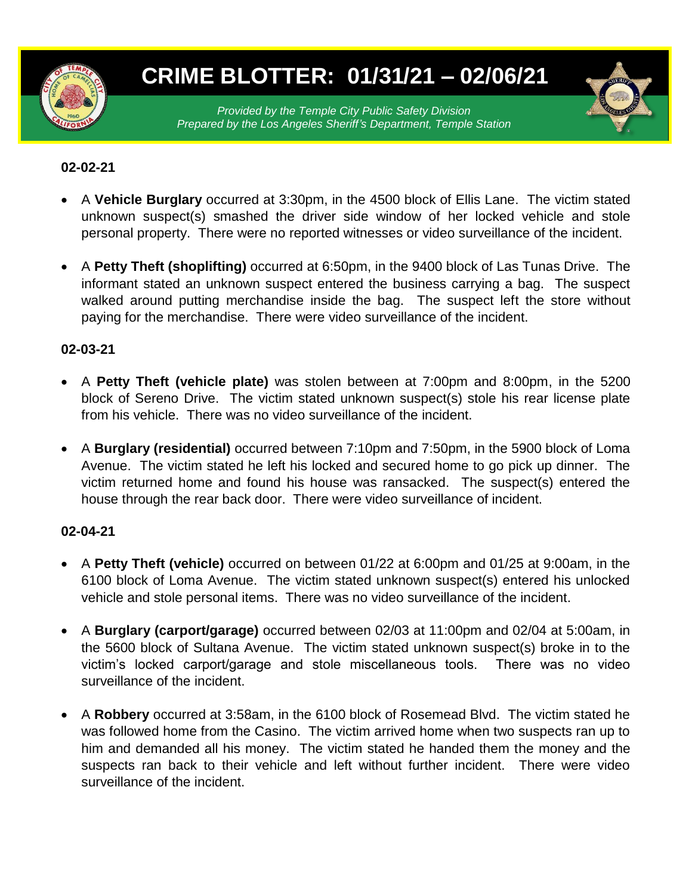

# **CRIME BLOTTER: 01/31/21 – 02/06/21**

*Provided by the Temple City Public Safety Division Prepared by the Los Angeles Sheriff's Department, Temple Station*

### **02-02-21**

- A **Vehicle Burglary** occurred at 3:30pm, in the 4500 block of Ellis Lane. The victim stated unknown suspect(s) smashed the driver side window of her locked vehicle and stole personal property. There were no reported witnesses or video surveillance of the incident.
- A **Petty Theft (shoplifting)** occurred at 6:50pm, in the 9400 block of Las Tunas Drive. The informant stated an unknown suspect entered the business carrying a bag. The suspect walked around putting merchandise inside the bag. The suspect left the store without paying for the merchandise. There were video surveillance of the incident.

#### **02-03-21**

- A **Petty Theft (vehicle plate)** was stolen between at 7:00pm and 8:00pm, in the 5200 block of Sereno Drive. The victim stated unknown suspect(s) stole his rear license plate from his vehicle. There was no video surveillance of the incident.
- A **Burglary (residential)** occurred between 7:10pm and 7:50pm, in the 5900 block of Loma Avenue. The victim stated he left his locked and secured home to go pick up dinner. The victim returned home and found his house was ransacked. The suspect(s) entered the house through the rear back door. There were video surveillance of incident.

#### **02-04-21**

- A **Petty Theft (vehicle)** occurred on between 01/22 at 6:00pm and 01/25 at 9:00am, in the 6100 block of Loma Avenue. The victim stated unknown suspect(s) entered his unlocked vehicle and stole personal items. There was no video surveillance of the incident.
- A **Burglary (carport/garage)** occurred between 02/03 at 11:00pm and 02/04 at 5:00am, in the 5600 block of Sultana Avenue. The victim stated unknown suspect(s) broke in to the victim's locked carport/garage and stole miscellaneous tools. There was no video surveillance of the incident.
- A **Robbery** occurred at 3:58am, in the 6100 block of Rosemead Blvd. The victim stated he was followed home from the Casino. The victim arrived home when two suspects ran up to him and demanded all his money. The victim stated he handed them the money and the suspects ran back to their vehicle and left without further incident. There were video surveillance of the incident.